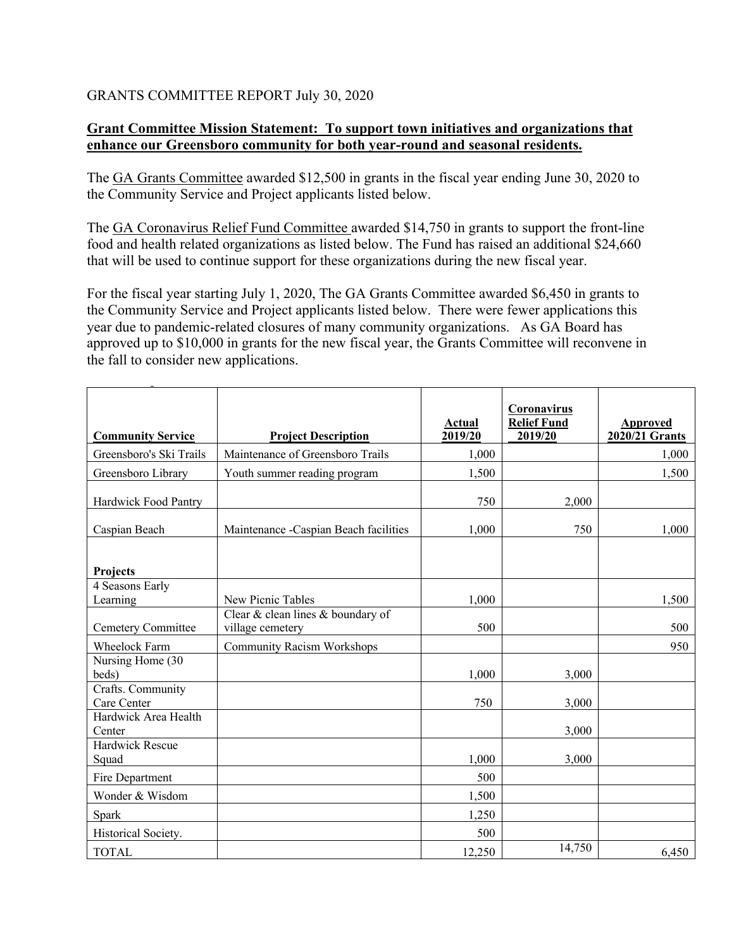## GRANTS COMMITTEE REPORT July 30, 2020

## **Grant Committee Mission Statement: To support town initiatives and organizations that enhance our Greensboro community for both year-round and seasonal residents.**

The GA Grants Committee awarded \$12,500 in grants in the fiscal year ending June 30, 2020 to the Community Service and Project applicants listed below.

The GA Coronavirus Relief Fund Committee awarded \$14,750 in grants to support the front-line food and health related organizations as listed below. The Fund has raised an additional \$24,660 that will be used to continue support for these organizations during the new fiscal year.

For the fiscal year starting July 1, 2020, The GA Grants Committee awarded \$6,450 in grants to the Community Service and Project applicants listed below. There were fewer applications this year due to pandemic-related closures of many community organizations. As GA Board has approved up to \$10,000 in grants for the new fiscal year, the Grants Committee will reconvene in the fall to consider new applications.

| <b>Community Service</b>         | <b>Project Description</b>                            | Actual<br>2019/20 | Coronavirus<br><b>Relief Fund</b><br>2019/20 | Approved<br>2020/21 Grants |
|----------------------------------|-------------------------------------------------------|-------------------|----------------------------------------------|----------------------------|
| Greensboro's Ski Trails          | Maintenance of Greensboro Trails                      | 1,000             |                                              | 1,000                      |
| Greensboro Library               | Youth summer reading program                          | 1,500             |                                              | 1,500                      |
| Hardwick Food Pantry             |                                                       | 750               | 2,000                                        |                            |
| Caspian Beach                    | Maintenance - Caspian Beach facilities                | 1,000             | 750                                          | 1,000                      |
| <b>Projects</b>                  |                                                       |                   |                                              |                            |
| 4 Seasons Early<br>Learning      | New Picnic Tables                                     | 1,000             |                                              | 1,500                      |
| Cemetery Committee               | Clear & clean lines & boundary of<br>village cemetery | 500               |                                              | 500                        |
| Wheelock Farm                    | <b>Community Racism Workshops</b>                     |                   |                                              | 950                        |
| Nursing Home (30<br>beds)        |                                                       | 1,000             | 3,000                                        |                            |
| Crafts. Community<br>Care Center |                                                       | 750               | 3,000                                        |                            |
| Hardwick Area Health<br>Center   |                                                       |                   | 3,000                                        |                            |
| Hardwick Rescue<br>Squad         |                                                       | 1,000             | 3,000                                        |                            |
| Fire Department                  |                                                       | 500               |                                              |                            |
| Wonder & Wisdom                  |                                                       | 1,500             |                                              |                            |
| Spark                            |                                                       | 1,250             |                                              |                            |
| Historical Society.              |                                                       | 500               |                                              |                            |
| <b>TOTAL</b>                     |                                                       | 12,250            | 14,750                                       | 6,450                      |